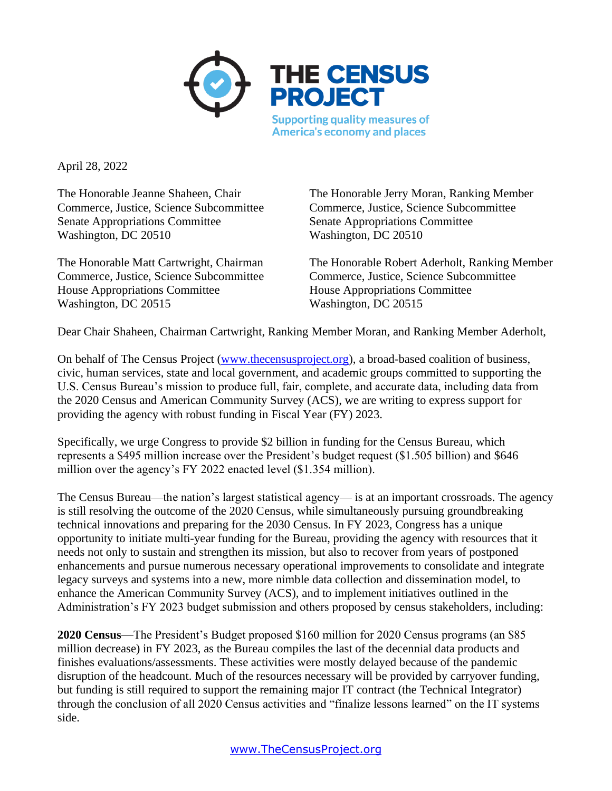

April 28, 2022

Senate Appropriations Committee Senate Appropriations Committee Washington, DC 20510 Washington, DC 20510

House Appropriations Committee House Appropriations Committee Washington, DC 20515 Washington, DC 20515

The Honorable Jeanne Shaheen, Chair The Honorable Jerry Moran, Ranking Member Commerce, Justice, Science Subcommittee Commerce, Justice, Science Subcommittee

The Honorable Matt Cartwright, Chairman The Honorable Robert Aderholt, Ranking Member Commerce, Justice, Science Subcommittee Commerce, Justice, Science Subcommittee

Dear Chair Shaheen, Chairman Cartwright, Ranking Member Moran, and Ranking Member Aderholt,

On behalf of The Census Project [\(www.thecensusproject.org\)](http://www.thecensusproject.org/), a broad-based coalition of business, civic, human services, state and local government, and academic groups committed to supporting the U.S. Census Bureau's mission to produce full, fair, complete, and accurate data, including data from the 2020 Census and American Community Survey (ACS), we are writing to express support for providing the agency with robust funding in Fiscal Year (FY) 2023.

Specifically, we urge Congress to provide \$2 billion in funding for the Census Bureau, which represents a \$495 million increase over the President's budget request (\$1.505 billion) and \$646 million over the agency's FY 2022 enacted level (\$1.354 million).

The Census Bureau—the nation's largest statistical agency— is at an important crossroads. The agency is still resolving the outcome of the 2020 Census, while simultaneously pursuing groundbreaking technical innovations and preparing for the 2030 Census. In FY 2023, Congress has a unique opportunity to initiate multi-year funding for the Bureau, providing the agency with resources that it needs not only to sustain and strengthen its mission, but also to recover from years of postponed enhancements and pursue numerous necessary operational improvements to consolidate and integrate legacy surveys and systems into a new, more nimble data collection and dissemination model, to enhance the American Community Survey (ACS), and to implement initiatives outlined in the Administration's FY 2023 budget submission and others proposed by census stakeholders, including:

**2020 Census**—The President's Budget proposed \$160 million for 2020 Census programs (an \$85 million decrease) in FY 2023, as the Bureau compiles the last of the decennial data products and finishes evaluations/assessments. These activities were mostly delayed because of the pandemic disruption of the headcount. Much of the resources necessary will be provided by carryover funding, but funding is still required to support the remaining major IT contract (the Technical Integrator) through the conclusion of all 2020 Census activities and "finalize lessons learned" on the IT systems side.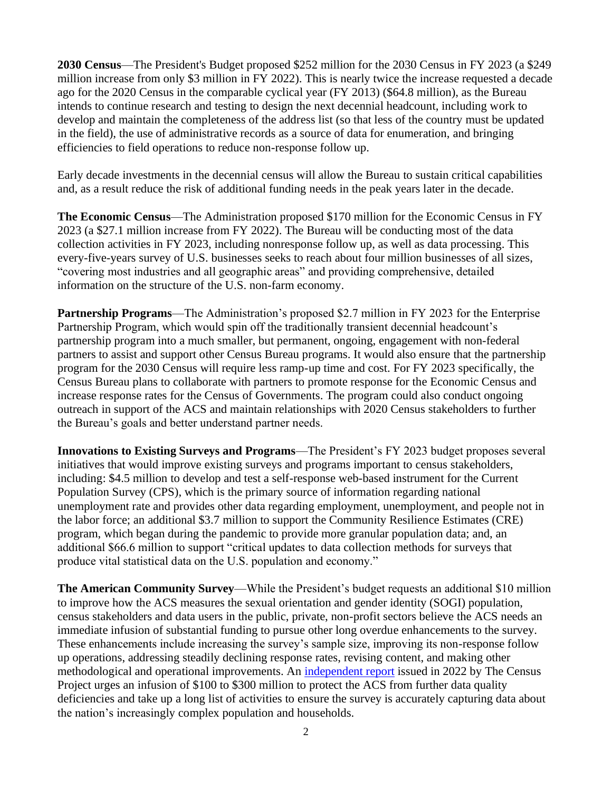**2030 Census**—The President's Budget proposed \$252 million for the 2030 Census in FY 2023 (a \$249 million increase from only \$3 million in FY 2022). This is nearly twice the increase requested a decade ago for the 2020 Census in the comparable cyclical year (FY 2013) (\$64.8 million), as the Bureau intends to continue research and testing to design the next decennial headcount, including work to develop and maintain the completeness of the address list (so that less of the country must be updated in the field), the use of administrative records as a source of data for enumeration, and bringing efficiencies to field operations to reduce non-response follow up.

Early decade investments in the decennial census will allow the Bureau to sustain critical capabilities and, as a result reduce the risk of additional funding needs in the peak years later in the decade.

**The Economic Census**—The Administration proposed \$170 million for the Economic Census in FY 2023 (a \$27.1 million increase from FY 2022). The Bureau will be conducting most of the data collection activities in FY 2023, including nonresponse follow up, as well as data processing. This every-five-years survey of U.S. businesses seeks to reach about four million businesses of all sizes, "covering most industries and all geographic areas" and providing comprehensive, detailed information on the structure of the U.S. non-farm economy.

**Partnership Programs**—The Administration's proposed \$2.7 million in FY 2023 for the Enterprise Partnership Program, which would spin off the traditionally transient decennial headcount's partnership program into a much smaller, but permanent, ongoing, engagement with non-federal partners to assist and support other Census Bureau programs. It would also ensure that the partnership program for the 2030 Census will require less ramp-up time and cost. For FY 2023 specifically, the Census Bureau plans to collaborate with partners to promote response for the Economic Census and increase response rates for the Census of Governments. The program could also conduct ongoing outreach in support of the ACS and maintain relationships with 2020 Census stakeholders to further the Bureau's goals and better understand partner needs.

**Innovations to Existing Surveys and Programs**—The President's FY 2023 budget proposes several initiatives that would improve existing surveys and programs important to census stakeholders, including: \$4.5 million to develop and test a self-response web-based instrument for the Current Population Survey (CPS), which is the primary source of information regarding national unemployment rate and provides other data regarding employment, unemployment, and people not in the labor force; an additional \$3.7 million to support the Community Resilience Estimates (CRE) program, which began during the pandemic to provide more granular population data; and, an additional \$66.6 million to support "critical updates to data collection methods for surveys that produce vital statistical data on the U.S. population and economy."

**The American Community Survey**—While the President's budget requests an additional \$10 million to improve how the ACS measures the sexual orientation and gender identity (SOGI) population, census stakeholders and data users in the public, private, non-profit sectors believe the ACS needs an immediate infusion of substantial funding to pursue other long overdue enhancements to the survey. These enhancements include increasing the survey's sample size, improving its non-response follow up operations, addressing steadily declining response rates, revising content, and making other methodological and operational improvements. An [independent report](https://censusproject.files.wordpress.com/2022/03/census_white-paper_final_march_2022.pdf) issued in 2022 by The Census Project urges an infusion of \$100 to \$300 million to protect the ACS from further data quality deficiencies and take up a long list of activities to ensure the survey is accurately capturing data about the nation's increasingly complex population and households.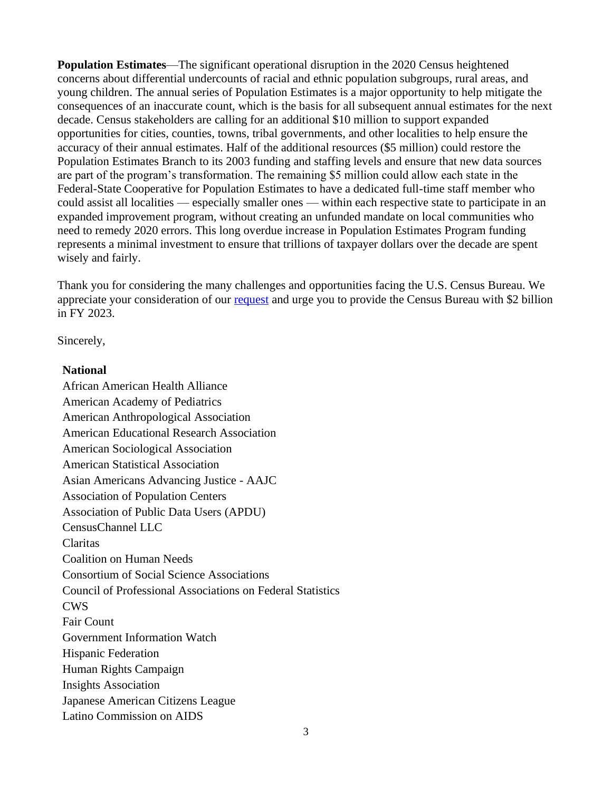**Population Estimates**—The significant operational disruption in the 2020 Census heightened concerns about differential undercounts of racial and ethnic population subgroups, rural areas, and young children. The annual series of Population Estimates is a major opportunity to help mitigate the consequences of an inaccurate count, which is the basis for all subsequent annual estimates for the next decade. Census stakeholders are calling for an additional \$10 million to support expanded opportunities for cities, counties, towns, tribal governments, and other localities to help ensure the accuracy of their annual estimates. Half of the additional resources (\$5 million) could restore the Population Estimates Branch to its 2003 funding and staffing levels and ensure that new data sources are part of the program's transformation. The remaining \$5 million could allow each state in the Federal-State Cooperative for Population Estimates to have a dedicated full-time staff member who could assist all localities — especially smaller ones — within each respective state to participate in an expanded improvement program, without creating an unfunded mandate on local communities who need to remedy 2020 errors. This long overdue increase in Population Estimates Program funding represents a minimal investment to ensure that trillions of taxpayer dollars over the decade are spent wisely and fairly.

Thank you for considering the many challenges and opportunities facing the U.S. Census Bureau. We appreciate your consideration of our [request](https://thecensusproject.us6.list-manage.com/track/click?u=2d1784c40f46dfe51b6f688d9&id=1280ff206a&e=c17d7dc9ad) and urge you to provide the Census Bureau with \$2 billion in FY 2023.

Sincerely,

## **National**

African American Health Alliance American Academy of Pediatrics American Anthropological Association American Educational Research Association American Sociological Association American Statistical Association Asian Americans Advancing Justice - AAJC Association of Population Centers Association of Public Data Users (APDU) CensusChannel LLC Claritas Coalition on Human Needs Consortium of Social Science Associations Council of Professional Associations on Federal Statistics CWS Fair Count Government Information Watch Hispanic Federation Human Rights Campaign Insights Association Japanese American Citizens League Latino Commission on AIDS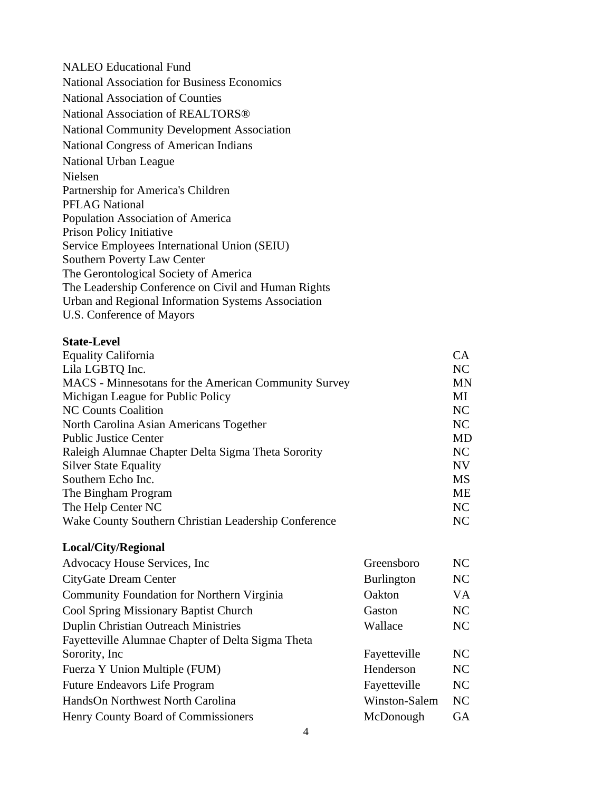NALEO Educational Fund National Association for Business Economics National Association of Counties National Association of REALTORS® National Community Development Association National Congress of American Indians National Urban League Nielsen Partnership for America's Children PFLAG National Population Association of America Prison Policy Initiative Service Employees International Union (SEIU) Southern Poverty Law Center The Gerontological Society of America The Leadership Conference on Civil and Human Rights Urban and Regional Information Systems Association U.S. Conference of Mayors

## **State-Level**

| <b>Equality California</b>                           |                   | CA        |
|------------------------------------------------------|-------------------|-----------|
| Lila LGBTQ Inc.                                      |                   | NC        |
| MACS - Minnesotans for the American Community Survey |                   | <b>MN</b> |
| Michigan League for Public Policy                    |                   | MI        |
| <b>NC Counts Coalition</b>                           |                   | NC        |
| North Carolina Asian Americans Together              |                   | NC        |
| <b>Public Justice Center</b>                         |                   | <b>MD</b> |
| Raleigh Alumnae Chapter Delta Sigma Theta Sorority   |                   | NC        |
| <b>Silver State Equality</b>                         |                   | NV        |
| Southern Echo Inc.                                   |                   | <b>MS</b> |
| The Bingham Program                                  |                   | ME        |
| The Help Center NC                                   |                   | NC        |
| Wake County Southern Christian Leadership Conference |                   | NC        |
| Local/City/Regional                                  |                   |           |
| Advocacy House Services, Inc.                        | Greensboro        | NC        |
| CityGate Dream Center                                | <b>Burlington</b> | NC        |
| Community Foundation for Northern Virginia           | Oakton            | VA        |
| Cool Spring Missionary Baptist Church                | Gaston            | NC        |
| <b>Duplin Christian Outreach Ministries</b>          | Wallace           | NC        |
| Fayetteville Alumnae Chapter of Delta Sigma Theta    |                   |           |
| Sorority, Inc.                                       | Fayetteville      | NC        |
| Fuerza Y Union Multiple (FUM)                        | Henderson         | NC        |